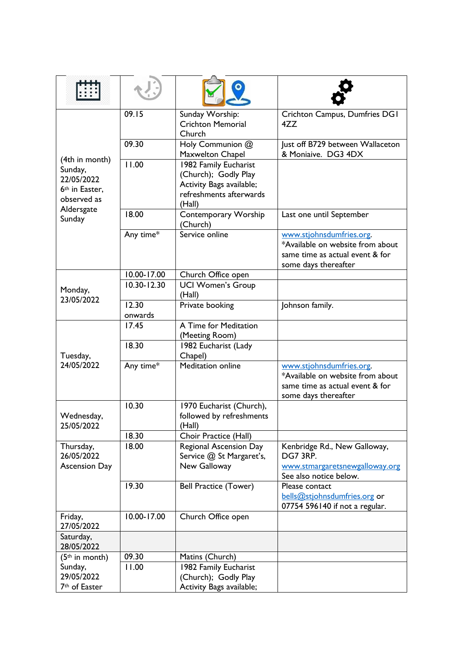| (4th in month)<br>Sunday,<br>22/05/2022<br>6 <sup>th</sup> in Easter,<br>observed as<br>Aldersgate<br>Sunday | 09.15            | Sunday Worship:<br><b>Crichton Memorial</b><br>Church                                                          | Crichton Campus, Dumfries DGI<br>4ZZ                                                                                    |
|--------------------------------------------------------------------------------------------------------------|------------------|----------------------------------------------------------------------------------------------------------------|-------------------------------------------------------------------------------------------------------------------------|
|                                                                                                              | 09.30            | Holy Communion @<br>Maxwelton Chapel                                                                           | Just off B729 between Wallaceton<br>& Moniaive. DG3 4DX                                                                 |
|                                                                                                              | 11.00            | 1982 Family Eucharist<br>(Church); Godly Play<br>Activity Bags available;<br>refreshments afterwards<br>(Hall) |                                                                                                                         |
|                                                                                                              | 18.00            | Contemporary Worship<br>(Church)                                                                               | Last one until September                                                                                                |
|                                                                                                              | Any time*        | Service online                                                                                                 | www.stjohnsdumfries.org.<br>*Available on website from about<br>same time as actual event & for<br>some days thereafter |
|                                                                                                              | 10.00-17.00      | Church Office open                                                                                             |                                                                                                                         |
| Monday,<br>23/05/2022                                                                                        | 10.30-12.30      | <b>UCI Women's Group</b><br>(Hall)                                                                             |                                                                                                                         |
|                                                                                                              | 12.30<br>onwards | Private booking                                                                                                | Johnson family.                                                                                                         |
| Tuesday,<br>24/05/2022                                                                                       | 17.45            | A Time for Meditation<br>(Meeting Room)                                                                        |                                                                                                                         |
|                                                                                                              | 18.30            | 1982 Eucharist (Lady<br>Chapel)                                                                                |                                                                                                                         |
|                                                                                                              | Any time*        | Meditation online                                                                                              | www.stjohnsdumfries.org.<br>*Available on website from about<br>same time as actual event & for<br>some days thereafter |
| Wednesday,<br>25/05/2022                                                                                     | 10.30            | 1970 Eucharist (Church),<br>followed by refreshments<br>(Hall)                                                 |                                                                                                                         |
|                                                                                                              | 18.30            | Choir Practice (Hall)                                                                                          |                                                                                                                         |
| Thursday,<br>26/05/2022<br><b>Ascension Day</b>                                                              | 18.00            | Regional Ascension Day<br>Service @ St Margaret's,<br>New Galloway                                             | Kenbridge Rd., New Galloway,<br>DG7 3RP.<br>www.stmargaretsnewgalloway.org<br>See also notice below.                    |
|                                                                                                              | 19.30            | <b>Bell Practice (Tower)</b>                                                                                   | Please contact<br>bells@stjohnsdumfries.org or<br>07754 596140 if not a regular.                                        |
| Friday,<br>27/05/2022                                                                                        | 10.00-17.00      | Church Office open                                                                                             |                                                                                                                         |
| Saturday,<br>28/05/2022                                                                                      |                  |                                                                                                                |                                                                                                                         |
| $(5th$ in month)                                                                                             | 09.30            | Matins (Church)                                                                                                |                                                                                                                         |
| Sunday,<br>29/05/2022                                                                                        | 11.00            | 1982 Family Eucharist<br>(Church); Godly Play                                                                  |                                                                                                                         |
| 7 <sup>th</sup> of Easter                                                                                    |                  | Activity Bags available;                                                                                       |                                                                                                                         |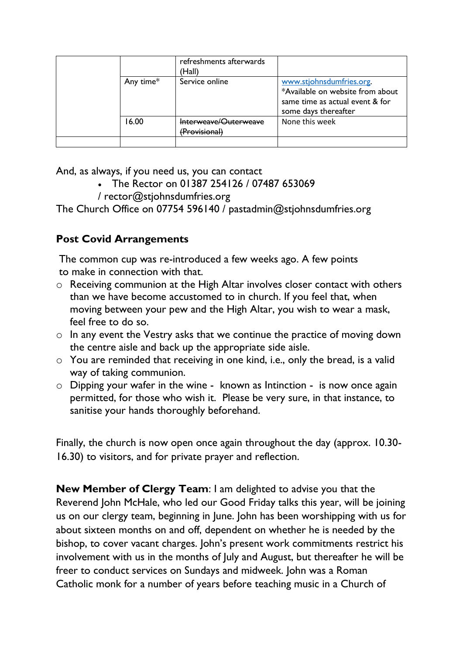|  |           | refreshments afterwards<br>(Hall)      |                                                                                                                         |
|--|-----------|----------------------------------------|-------------------------------------------------------------------------------------------------------------------------|
|  | Any time* | Service online                         | www.stjohnsdumfries.org.<br>*Available on website from about<br>same time as actual event & for<br>some days thereafter |
|  | 6.00      | Interweave/Quterweave<br>(Provisional) | None this week                                                                                                          |
|  |           |                                        |                                                                                                                         |

And, as always, if you need us, you can contact

- The Rector on 01387 254126 / 07487 653069
- / [rector@stjohnsdumfries.org](mailto:rector@stjohnsdumfries.org)

The Church Office on 07754 596140 / [pastadmin@stjohnsdumfries.org](mailto:pastadmin@stjohnsdumfries.org)

# **Post Covid Arrangements**

The common cup was re-introduced a few weeks ago. A few points to make in connection with that.

- o Receiving communion at the High Altar involves closer contact with others than we have become accustomed to in church. If you feel that, when moving between your pew and the High Altar, you wish to wear a mask, feel free to do so.
- o In any event the Vestry asks that we continue the practice of moving down the centre aisle and back up the appropriate side aisle.
- o You are reminded that receiving in one kind, i.e., only the bread, is a valid way of taking communion.
- o Dipping your wafer in the wine known as Intinction is now once again permitted, for those who wish it. Please be very sure, in that instance, to sanitise your hands thoroughly beforehand.

Finally, the church is now open once again throughout the day (approx. 10.30- 16.30) to visitors, and for private prayer and reflection.

**New Member of Clergy Team**: I am delighted to advise you that the Reverend John McHale, who led our Good Friday talks this year, will be joining us on our clergy team, beginning in June. John has been worshipping with us for about sixteen months on and off, dependent on whether he is needed by the bishop, to cover vacant charges. John's present work commitments restrict his involvement with us in the months of July and August, but thereafter he will be freer to conduct services on Sundays and midweek. John was a Roman Catholic monk for a number of years before teaching music in a Church of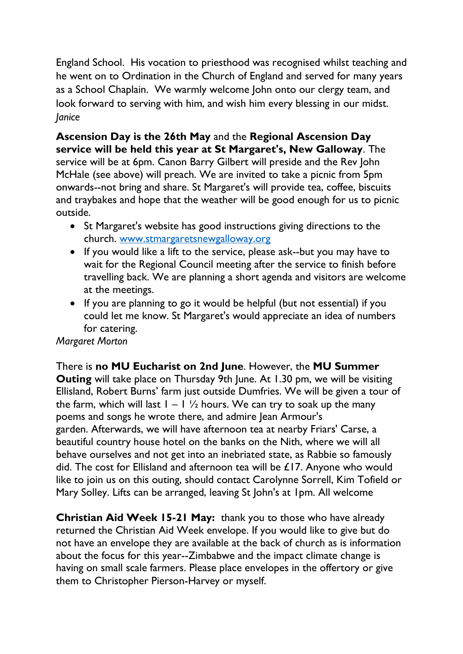England School. His vocation to priesthood was recognised whilst teaching and he went on to Ordination in the Church of England and served for many years as a School Chaplain. We warmly welcome John onto our clergy team, and look forward to serving with him, and wish him every blessing in our midst. *Janice*

**Ascension Day is the 26th May** and the **Regional Ascension Day service will be held this year at St Margaret's, New Galloway**. The service will be at 6pm. Canon Barry Gilbert will preside and the Rev John McHale (see above) will preach. We are invited to take a picnic from 5pm onwards--not bring and share. St Margaret's will provide tea, coffee, biscuits and traybakes and hope that the weather will be good enough for us to picnic outside.

- St Margaret's website has good instructions giving directions to the church. [www.stmargaretsnewgalloway.org](http://www.stmargaretsnewgalloway.org/)
- If you would like a lift to the service, please ask--but you may have to wait for the Regional Council meeting after the service to finish before travelling back. We are planning a short agenda and visitors are welcome at the meetings.
- If you are planning to go it would be helpful (but not essential) if you could let me know. St Margaret's would appreciate an idea of numbers for catering.

### *Margaret Morton*

There is **no MU Eucharist on 2nd June**. However, the **MU Summer Outing** will take place on Thursday 9th June. At 1.30 pm, we will be visiting Ellisland, Robert Burns' farm just outside Dumfries. We will be given a tour of the farm, which will last  $1 - 1 \frac{1}{2}$  hours. We can try to soak up the many poems and songs he wrote there, and admire Jean Armour's garden. Afterwards, we will have afternoon tea at nearby Friars' Carse, a beautiful country house hotel on the banks on the Nith, where we will all behave ourselves and not get into an inebriated state, as Rabbie so famously did. The cost for Ellisland and afternoon tea will be £17. Anyone who would like to join us on this outing, should contact Carolynne Sorrell, Kim Tofield or Mary Solley. Lifts can be arranged, leaving St John's at 1pm. All welcome

**Christian Aid Week 15-21 May:** thank you to those who have already returned the Christian Aid Week envelope. If you would like to give but do not have an envelope they are available at the back of church as is information about the focus for this year--Zimbabwe and the impact climate change is having on small scale farmers. Please place envelopes in the offertory or give them to Christopher Pierson-Harvey or myself.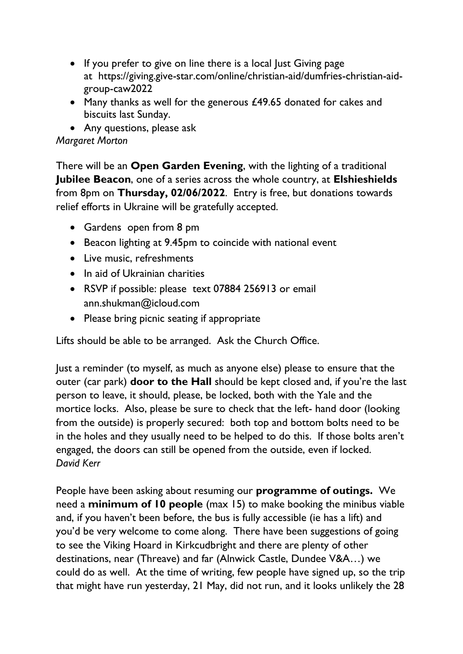- If you prefer to give on line there is a local lust Giving page at [https://giving.give-star.com/online/christian-aid/dumfries-christian-aid](https://giving.give-star.com/online/christian-aid/dumfries-christian-aid-group-caw2022)[group-caw2022](https://giving.give-star.com/online/christian-aid/dumfries-christian-aid-group-caw2022)
- Many thanks as well for the generous  $£49.65$  donated for cakes and biscuits last Sunday.
- Any questions, please ask

## *Margaret Morton*

There will be an **Open Garden Evening**, with the lighting of a traditional **Jubilee Beacon**, one of a series across the whole country, at **Elshieshields** from 8pm on **Thursday, 02/06/2022**. Entry is free, but donations towards relief efforts in Ukraine will be gratefully accepted.

- Gardens open from 8 pm
- Beacon lighting at 9.45pm to coincide with national event
- Live music, refreshments
- In aid of Ukrainian charities
- RSVP if possible: please text 07884 256913 or email [ann.shukman@icloud.com](mailto:ann.shukman@icloud.com)
- Please bring picnic seating if appropriate

Lifts should be able to be arranged. Ask the Church Office.

Just a reminder (to myself, as much as anyone else) please to ensure that the outer (car park) **door to the Hall** should be kept closed and, if you're the last person to leave, it should, please, be locked, both with the Yale and the mortice locks. Also, please be sure to check that the left- hand door (looking from the outside) is properly secured: both top and bottom bolts need to be in the holes and they usually need to be helped to do this. If those bolts aren't engaged, the doors can still be opened from the outside, even if locked. *David Kerr*

People have been asking about resuming our **programme of outings.** We need a **minimum of 10 people** (max 15) to make booking the minibus viable and, if you haven't been before, the bus is fully accessible (ie has a lift) and you'd be very welcome to come along. There have been suggestions of going to see the Viking Hoard in Kirkcudbright and there are plenty of other destinations, near (Threave) and far (Alnwick Castle, Dundee V&A…) we could do as well. At the time of writing, few people have signed up, so the trip that might have run yesterday, 21 May, did not run, and it looks unlikely the 28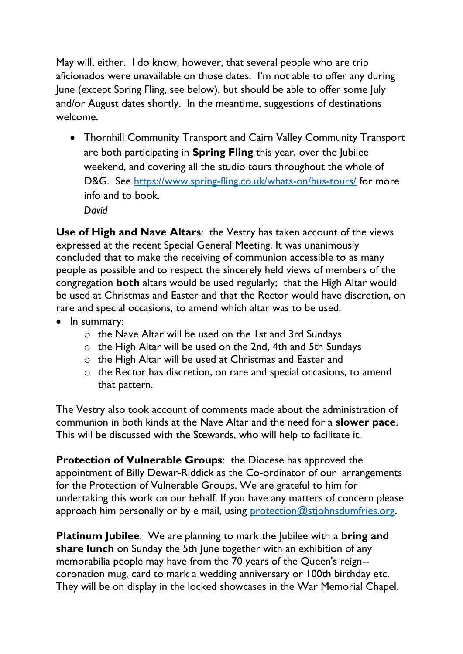May will, either. I do know, however, that several people who are trip aficionados were unavailable on those dates. I'm not able to offer any during June (except Spring Fling, see below), but should be able to offer some July and/or August dates shortly. In the meantime, suggestions of destinations welcome.

• Thornhill Community Transport and Cairn Valley Community Transport are both participating in **Spring Fling** this year, over the Jubilee weekend, and covering all the studio tours throughout the whole of D&G. See<https://www.spring-fling.co.uk/whats-on/bus-tours/> for more info and to book. *David*

**Use of High and Nave Altars**: the Vestry has taken account of the views expressed at the recent Special General Meeting. It was unanimously concluded that to make the receiving of communion accessible to as many people as possible and to respect the sincerely held views of members of the congregation **both** altars would be used regularly; that the High Altar would be used at Christmas and Easter and that the Rector would have discretion, on rare and special occasions, to amend which altar was to be used.

- In summary:
	- o the Nave Altar will be used on the 1st and 3rd Sundays
	- o the High Altar will be used on the 2nd, 4th and 5th Sundays
	- o the High Altar will be used at Christmas and Easter and
	- o the Rector has discretion, on rare and special occasions, to amend that pattern.

The Vestry also took account of comments made about the administration of communion in both kinds at the Nave Altar and the need for a **slower pace**. This will be discussed with the Stewards, who will help to facilitate it.

**Protection of Vulnerable Groups**: the Diocese has approved the appointment of Billy Dewar-Riddick as the Co-ordinator of our arrangements for the Protection of Vulnerable Groups. We are grateful to him for undertaking this work on our behalf. If you have any matters of concern please approach him personally or by e mail, using protection $@$ stjohnsdumfries.org.

**Platinum Jubilee**: We are planning to mark the Jubilee with a **bring and share lunch** on Sunday the 5th June together with an exhibition of any memorabilia people may have from the 70 years of the Queen's reign- coronation mug, card to mark a wedding anniversary or 100th birthday etc. They will be on display in the locked showcases in the War Memorial Chapel.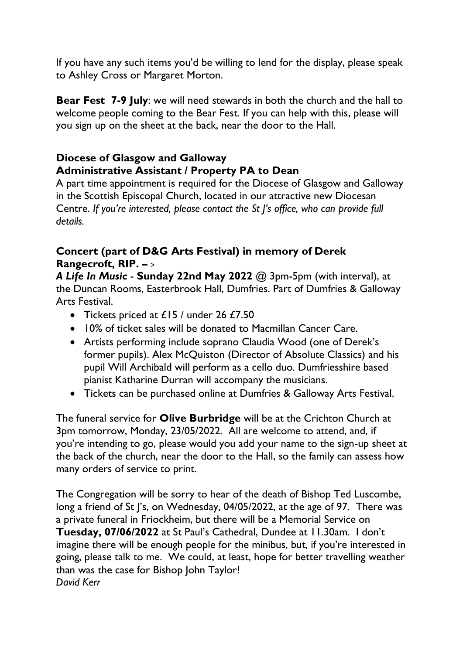If you have any such items you'd be willing to lend for the display, please speak to Ashley Cross or Margaret Morton.

**Bear Fest 7-9 July**: we will need stewards in both the church and the hall to welcome people coming to the Bear Fest. If you can help with this, please will you sign up on the sheet at the back, near the door to the Hall.

# **Diocese of Glasgow and Galloway Administrative Assistant / Property PA to Dean**

A part time appointment is required for the Diocese of Glasgow and Galloway in the Scottish Episcopal Church, located in our attractive new Diocesan Centre. *If you're interested, please contact the St J's office, who can provide full details.*

### **Concert (part of D&G Arts Festival) in memory of Derek Rangecroft, RIP. –** >

*A Life In Music* - **Sunday 22nd May 2022** @ 3pm-5pm (with interval), at the Duncan Rooms, Easterbrook Hall, Dumfries. Part of Dumfries & Galloway Arts Festival.

- Tickets priced at £15 / under 26 £7.50
- 10% of ticket sales will be donated to Macmillan Cancer Care.
- Artists performing include soprano Claudia Wood (one of Derek's former pupils). Alex McQuiston (Director of Absolute Classics) and his pupil Will Archibald will perform as a cello duo. Dumfriesshire based pianist Katharine Durran will accompany the musicians.
- Tickets can be purchased online at Dumfries & Galloway Arts Festival.

The funeral service for **Olive Burbridge** will be at the Crichton Church at 3pm tomorrow, Monday, 23/05/2022. All are welcome to attend, and, if you're intending to go, please would you add your name to the sign-up sheet at the back of the church, near the door to the Hall, so the family can assess how many orders of service to print.

The Congregation will be sorry to hear of the death of Bishop Ted Luscombe, long a friend of St I's, on Wednesday, 04/05/2022, at the age of 97. There was a private funeral in Friockheim, but there will be a Memorial Service on **Tuesday, 07/06/2022** at St Paul's Cathedral, Dundee at 11.30am. I don't imagine there will be enough people for the minibus, but, if you're interested in going, please talk to me. We could, at least, hope for better travelling weather than was the case for Bishop John Taylor! *David Kerr*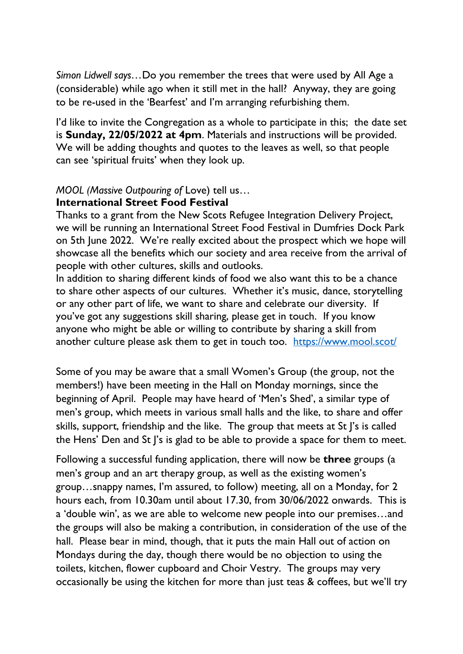*Simon Lidwell says…*Do you remember the trees that were used by All Age a (considerable) while ago when it still met in the hall? Anyway, they are going to be re-used in the 'Bearfest' and I'm arranging refurbishing them.

I'd like to invite the Congregation as a whole to participate in this; the date set is **Sunday, 22/05/2022 at 4pm**. Materials and instructions will be provided. We will be adding thoughts and quotes to the leaves as well, so that people can see 'spiritual fruits' when they look up.

#### *MOOL (Massive Outpouring of* Love) tell us…

#### **International Street Food Festival**

Thanks to a grant from the New Scots Refugee Integration Delivery Project, we will be running an International Street Food Festival in Dumfries Dock Park on 5th June 2022. We're really excited about the prospect which we hope will showcase all the benefits which our society and area receive from the arrival of people with other cultures, skills and outlooks.

In addition to sharing different kinds of food we also want this to be a chance to share other aspects of our cultures. Whether it's music, dance, storytelling or any other part of life, we want to share and celebrate our diversity. If you've got any suggestions skill sharing, please get in touch. If you know anyone who might be able or willing to contribute by sharing a skill from another culture please ask them to get in touch too. <https://www.mool.scot/>

Some of you may be aware that a small Women's Group (the group, not the members!) have been meeting in the Hall on Monday mornings, since the beginning of April. People may have heard of 'Men's Shed', a similar type of men's group, which meets in various small halls and the like, to share and offer skills, support, friendship and the like. The group that meets at St J's is called the Hens' Den and St J's is glad to be able to provide a space for them to meet.

Following a successful funding application, there will now be **three** groups (a men's group and an art therapy group, as well as the existing women's group…snappy names, I'm assured, to follow) meeting, all on a Monday, for 2 hours each, from 10.30am until about 17.30, from 30/06/2022 onwards. This is a 'double win', as we are able to welcome new people into our premises…and the groups will also be making a contribution, in consideration of the use of the hall. Please bear in mind, though, that it puts the main Hall out of action on Mondays during the day, though there would be no objection to using the toilets, kitchen, flower cupboard and Choir Vestry. The groups may very occasionally be using the kitchen for more than just teas & coffees, but we'll try